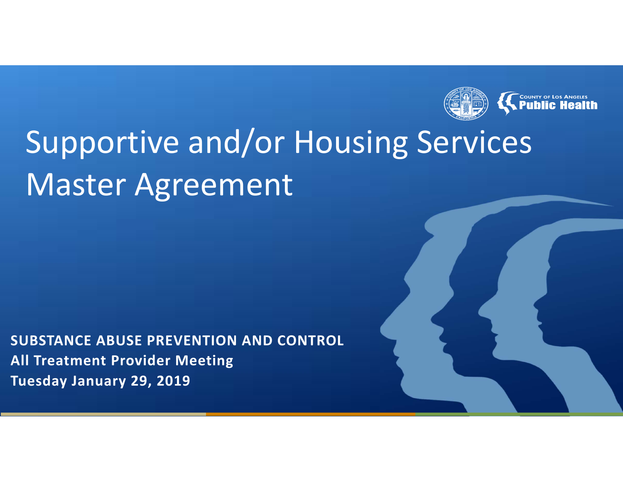

**SUBSTANCE ABUSE PREVENTION AND CONTROL All Treatment Provider Meeting Tuesday January 29, 2019**

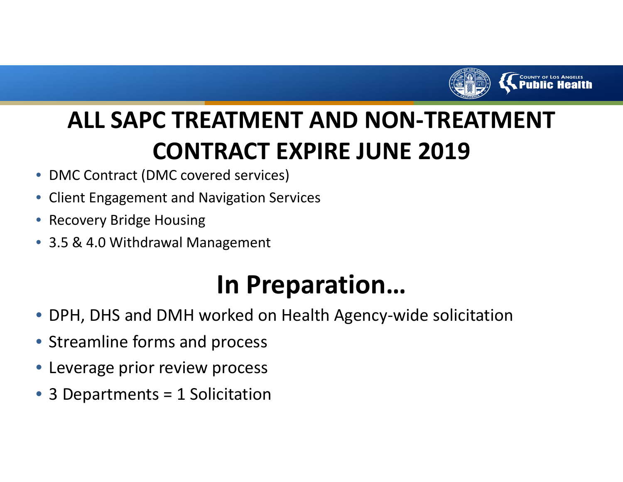

### **ALL SAPC TREATMENT AND NON‐TREATMENT CONTRACT EXPIRE JUNE 2019**

- •DMC Contract (DMC covered services)
- •Client Engagement and Navigation Services
- •Recovery Bridge Housing
- 3.5 & 4.0 Withdrawal Management

## **In Preparation…**

- •DPH, DHS and DMH worked on Health Agency‐wide solicitation
- Streamline forms and process
- Leverage prior review process
- •3 Departments <sup>=</sup> 1 Solicitation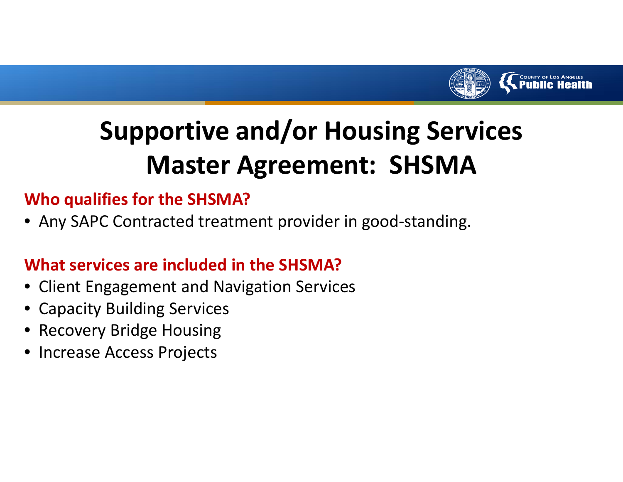

#### **Who qualifies for the SHSMA?**

• Any SAPC Contracted treatment provider in good‐standing.

#### **What services are included in the SHSMA?**

- Client Engagement and Navigation Services
- Capacity Building Services
- •Recovery Bridge Housing
- Increase Access Projects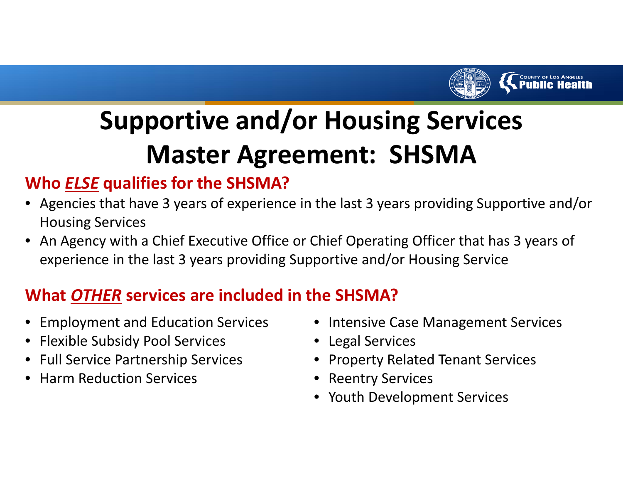

#### **Who** *ELSE* **qualifies for the SHSMA?**

- Agencies that have 3 years of experience in the last 3 years providing Supportive and/or Housing Services
- An Agency with <sup>a</sup> Chief Executive Office or Chief Operating Officer that has 3 years of experience in the last 3 years providing Supportive and/or Housing Service

#### **What** *OTHER* **services are included in the SHSMA?**

- Employment and Education Services
- Flexible Subsidy Pool Services
- Full Service Partnership Services
- •**•** Harm Reduction Services
- Intensive Case Management Services
- Legal Services
- Property Related Tenant Services
- Reentry Services
- Youth Development Services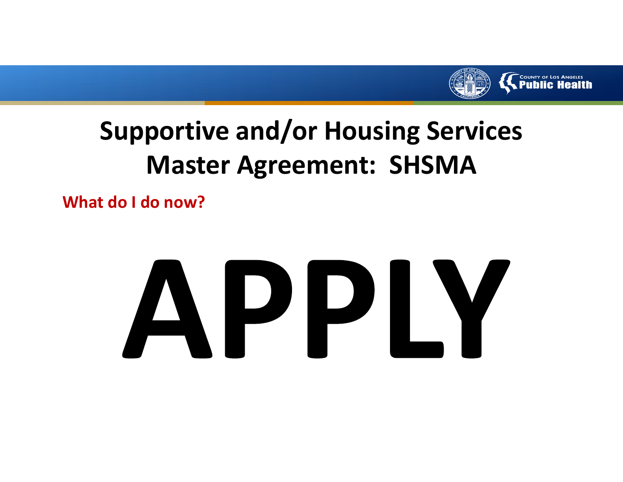

**What do I do now?**

# APPLY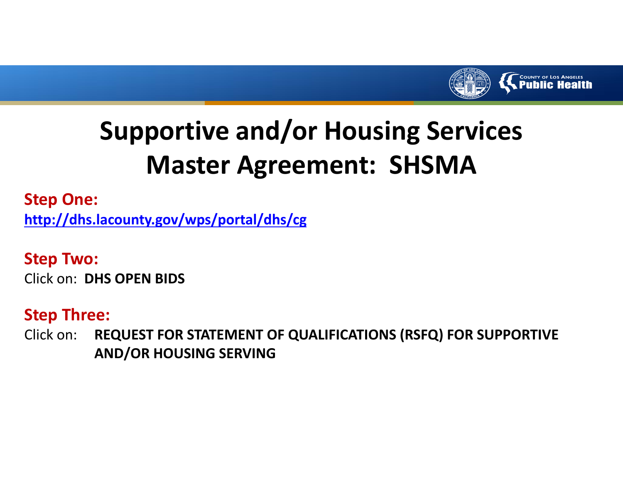

**Step One:**

**http://dhs.lacounty.gov/wps/portal/dhs/cg**

**Step Two:** Click on: **DHS OPEN BIDS**

#### **Step Three:**

Click on: **REQUEST FOR STATEMENT OF QUALIFICATIONS (RSFQ) FOR SUPPORTIVE AND/OR HOUSING SERVING**